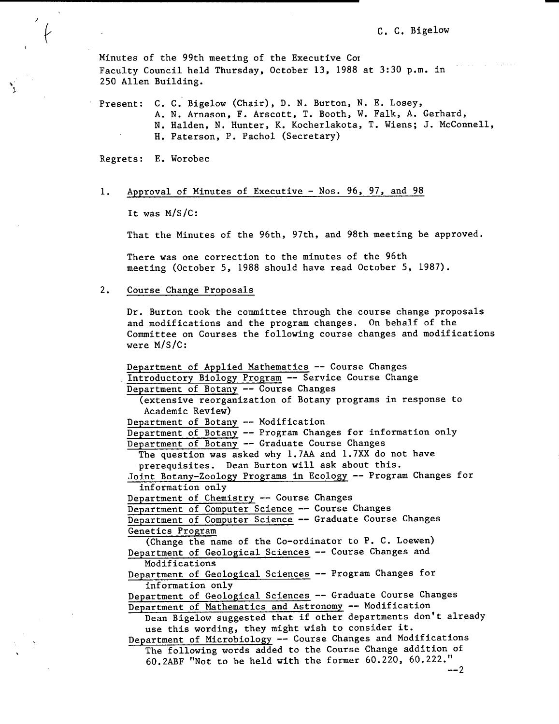Minutes of the 99th meeting of the Executive Cot Faculty Council held Thursday, October 13, 1988 at 3:30 p.m. in 250 Allen Building.

Present: C. C. Bigelow (Chair), D. N. Burton, N. E. Losey, A. N. Arnason, F. Arscott, T. Booth, W. Falk, A. Gerhard, N. Halden, N. Hunter, K. Kocherlakota, T. Wiens; J. McConnell, H. Paterson, P. Pachol (Secretary)

Regrets: E. Worobec

Approval of Minutes of Executive - Nos. 96, 97, and 98  $1.$ 

It was M/S/C:

That the Minutes of the 96th, 97th, and 98th meeting be approved.

There was one correction to the minutes of the 96th meeting (October 5, 1988 should have read October 5, 1987).

## $2.1$ Course Change Proposals

Dr. Burton took the committee through the course change proposals and modifications and the program changes. On behalf of the Committee on Courses the following course changes and modifications were M/S/C:

Department of Applied Mathematics -- Course Changes Introductory Biology Program -- Service Course Change Department of Botany -- Course Changes (extensive reorganization of Botany programs in response to Academic Review) Department of Botany -- Modification Department of Botany -- Program Changes for information only Department of Botany -- Graduate Course Changes The question was asked why 1.7AA and 1.7XX do not have prerequisites. Dean Burton will ask about this. Joint Botany-Zoology Programs in Ecology -- Program Changes for information only Department of Chemistry -- Course Changes Department of Computer Science -- Course Changes Department of Computer Science -- Graduate Course Changes Genetics Program (Change the name of the Co-ordinator to P. C. Loewen) Department of Geological Sciences -- Course Changes and Modifications Department of Geological Sciences -- Program Changes for information only Department of Geological Sciences -- Graduate Course Changes Department of Mathematics and Astronomy -- Modification Dean Bigelow suggested that- if other departments don't already use this wording, they might wish to consider it. Department of Microbiology -- Course Changes and Modifications The following words added to the Course Change addition of 60.2ABF "Not to be held with the former 60.220, 60.222."  $--2$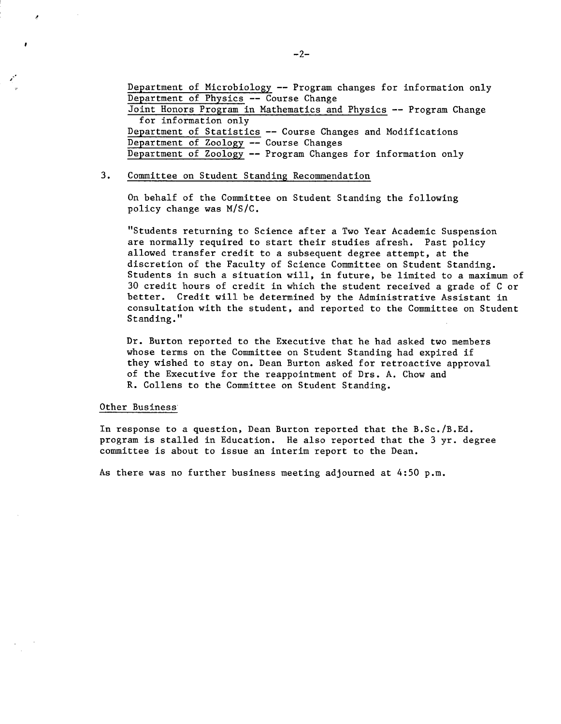Department of Microbiology -- Program changes for information only Department of Physics -- Course Change Joint Honors Program in Mathematics and Physics -- Program Change for information only Department of Statistics -- Course Changes and Modifications Department of Zoology -- Course Changes Department of Zoology -- Program Changes for information only

## 3. Committee on Student Standing Recommendation

On behalf of the Committee on Student Standing the following policy change was M/S/C.

"Students returning to Science after a Two Year Academic Suspension are normally required to start their studies afresh. Past policy allowed transfer credit to a subsequent degree attempt, at the discretion of the Faculty of Science Committee on Student Standing. Students in such a situation will, in future, be limited to a maximum of 30 credit hours of credit in which the student received a grade of C or better. Credit will be determined by the Administrative Assistant in consultation with the student, and reported to the Committee on Student Standing."

Dr. Burton reported to the Executive that he had asked two members whose terms on the Committee on Student Standing had expired if they wished to stay on. Dean Burton asked for retroactive approval of the Executive for the reappointment of Drs. A. Chow and R. Collens to the Committee on Student Standing.

## Other Business

41

In response to a question, Dean Burton reported that the B.Sc./B.Ed. program is stalled in Education. He also reported that the 3 yr. degree committee is about to issue an interim report to the Dean.

As there was no further business meeting adjourned at 4:50 p.m.